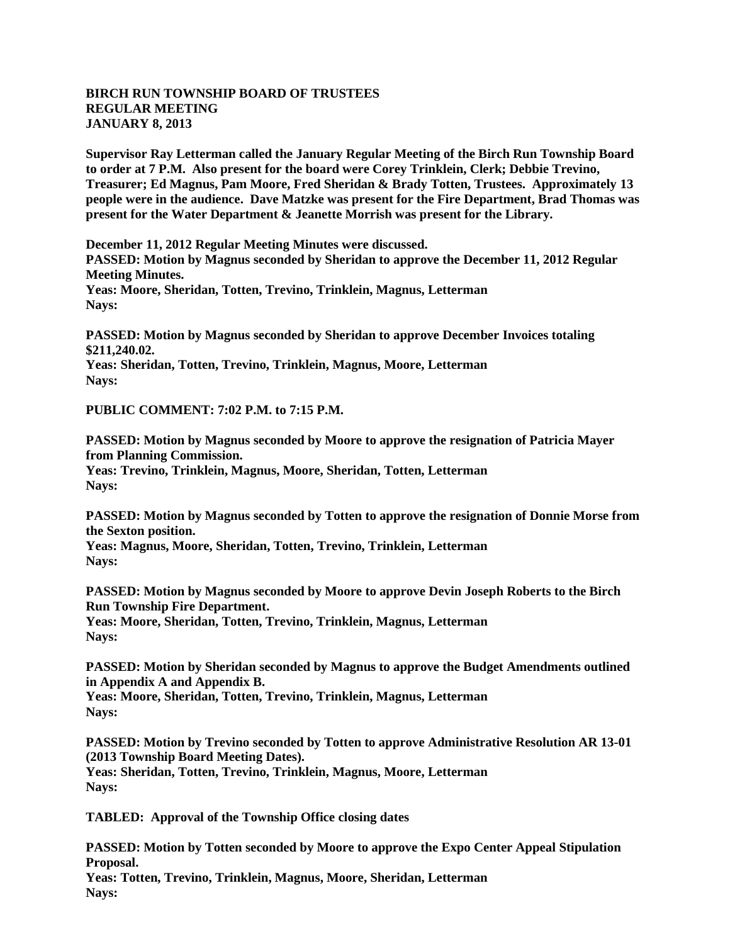## **BIRCH RUN TOWNSHIP BOARD OF TRUSTEES REGULAR MEETING JANUARY 8, 2013**

**Supervisor Ray Letterman called the January Regular Meeting of the Birch Run Township Board to order at 7 P.M. Also present for the board were Corey Trinklein, Clerk; Debbie Trevino, Treasurer; Ed Magnus, Pam Moore, Fred Sheridan & Brady Totten, Trustees. Approximately 13 people were in the audience. Dave Matzke was present for the Fire Department, Brad Thomas was present for the Water Department & Jeanette Morrish was present for the Library.**

**December 11, 2012 Regular Meeting Minutes were discussed. PASSED: Motion by Magnus seconded by Sheridan to approve the December 11, 2012 Regular Meeting Minutes. Yeas: Moore, Sheridan, Totten, Trevino, Trinklein, Magnus, Letterman Nays:**

**PASSED: Motion by Magnus seconded by Sheridan to approve December Invoices totaling \$211,240.02. Yeas: Sheridan, Totten, Trevino, Trinklein, Magnus, Moore, Letterman Nays:**

**PUBLIC COMMENT: 7:02 P.M. to 7:15 P.M.**

**PASSED: Motion by Magnus seconded by Moore to approve the resignation of Patricia Mayer from Planning Commission. Yeas: Trevino, Trinklein, Magnus, Moore, Sheridan, Totten, Letterman Nays:**

**PASSED: Motion by Magnus seconded by Totten to approve the resignation of Donnie Morse from the Sexton position.**

**Yeas: Magnus, Moore, Sheridan, Totten, Trevino, Trinklein, Letterman Nays:**

**PASSED: Motion by Magnus seconded by Moore to approve Devin Joseph Roberts to the Birch Run Township Fire Department.**

**Yeas: Moore, Sheridan, Totten, Trevino, Trinklein, Magnus, Letterman Nays:**

**PASSED: Motion by Sheridan seconded by Magnus to approve the Budget Amendments outlined in Appendix A and Appendix B.**

**Yeas: Moore, Sheridan, Totten, Trevino, Trinklein, Magnus, Letterman Nays:**

**PASSED: Motion by Trevino seconded by Totten to approve Administrative Resolution AR 13-01 (2013 Township Board Meeting Dates). Yeas: Sheridan, Totten, Trevino, Trinklein, Magnus, Moore, Letterman Nays:**

**TABLED: Approval of the Township Office closing dates**

**PASSED: Motion by Totten seconded by Moore to approve the Expo Center Appeal Stipulation Proposal. Yeas: Totten, Trevino, Trinklein, Magnus, Moore, Sheridan, Letterman Nays:**